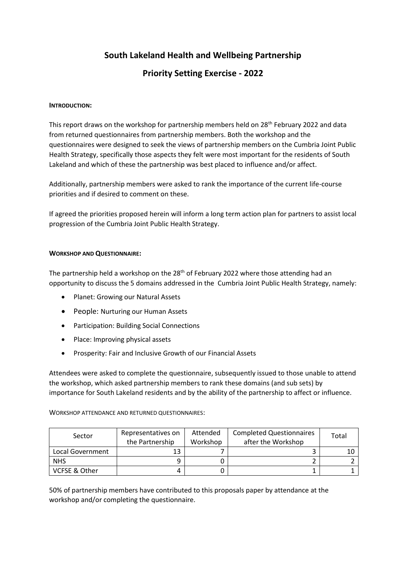# **South Lakeland Health and Wellbeing Partnership**

# **Priority Setting Exercise - 2022**

### **INTRODUCTION:**

This report draws on the workshop for partnership members held on 28<sup>th</sup> February 2022 and data from returned questionnaires from partnership members. Both the workshop and the questionnaires were designed to seek the views of partnership members on the Cumbria Joint Public Health Strategy, specifically those aspects they felt were most important for the residents of South Lakeland and which of these the partnership was best placed to influence and/or affect.

Additionally, partnership members were asked to rank the importance of the current life-course priorities and if desired to comment on these.

If agreed the priorities proposed herein will inform a long term action plan for partners to assist local progression of the Cumbria Joint Public Health Strategy.

### **WORKSHOP AND QUESTIONNAIRE:**

The partnership held a workshop on the  $28<sup>th</sup>$  of February 2022 where those attending had an opportunity to discuss the 5 domains addressed in the Cumbria Joint Public Health Strategy, namely:

- Planet: Growing our Natural Assets
- People: Nurturing our Human Assets
- Participation: Building Social Connections
- Place: Improving physical assets
- Prosperity: Fair and Inclusive Growth of our Financial Assets

Attendees were asked to complete the questionnaire, subsequently issued to those unable to attend the workshop, which asked partnership members to rank these domains (and sub sets) by importance for South Lakeland residents and by the ability of the partnership to affect or influence.

WORKSHOP ATTENDANCE AND RETURNED QUESTIONNAIRES:

| Sector           | Representatives on<br>the Partnership | Attended<br>Workshop | <b>Completed Questionnaires</b><br>after the Workshop | Total |
|------------------|---------------------------------------|----------------------|-------------------------------------------------------|-------|
| Local Government | 13                                    |                      |                                                       |       |
| <b>NHS</b>       |                                       |                      |                                                       |       |
| VCFSE & Other    |                                       |                      |                                                       |       |

50% of partnership members have contributed to this proposals paper by attendance at the workshop and/or completing the questionnaire.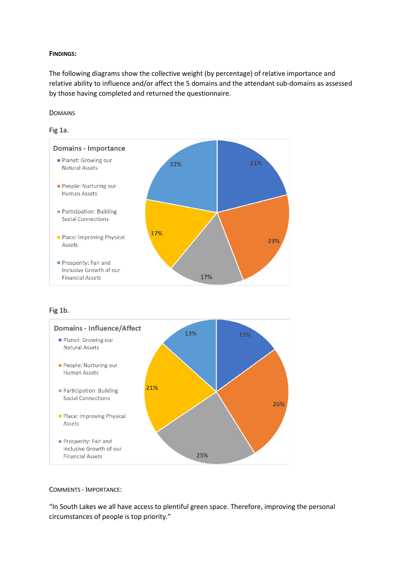### **FINDINGS:**

The following diagrams show the collective weight (by percentage) of relative importance and relative ability to influence and/or affect the 5 domains and the attendant sub-domains as assessed by those having completed and returned the questionnaire.

#### DOMAINS





Fig 1b.



### COMMENTS - IMPORTANCE:

"In South Lakes we all have access to plentiful green space. Therefore, improving the personal circumstances of people is top priority."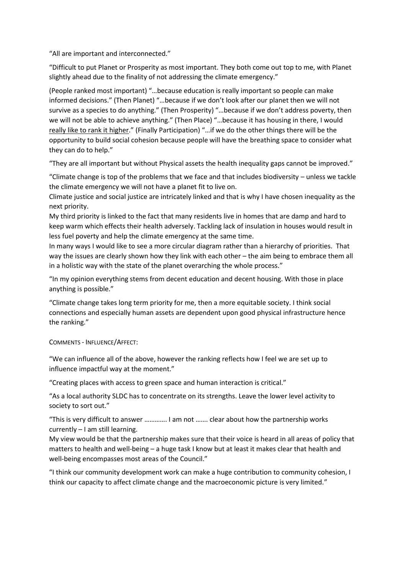"All are important and interconnected."

"Difficult to put Planet or Prosperity as most important. They both come out top to me, with Planet slightly ahead due to the finality of not addressing the climate emergency."

(People ranked most important) "…because education is really important so people can make informed decisions." (Then Planet) "…because if we don't look after our planet then we will not survive as a species to do anything." (Then Prosperity) "…because if we don't address poverty, then we will not be able to achieve anything." (Then Place) "…because it has housing in there, I would really like to rank it higher." (Finally Participation) "…if we do the other things there will be the opportunity to build social cohesion because people will have the breathing space to consider what they can do to help."

"They are all important but without Physical assets the health inequality gaps cannot be improved."

"Climate change is top of the problems that we face and that includes biodiversity – unless we tackle the climate emergency we will not have a planet fit to live on.

Climate justice and social justice are intricately linked and that is why I have chosen inequality as the next priority.

My third priority is linked to the fact that many residents live in homes that are damp and hard to keep warm which effects their health adversely. Tackling lack of insulation in houses would result in less fuel poverty and help the climate emergency at the same time.

In many ways I would like to see a more circular diagram rather than a hierarchy of priorities. That way the issues are clearly shown how they link with each other – the aim being to embrace them all in a holistic way with the state of the planet overarching the whole process."

"In my opinion everything stems from decent education and decent housing. With those in place anything is possible."

"Climate change takes long term priority for me, then a more equitable society. I think social connections and especially human assets are dependent upon good physical infrastructure hence the ranking."

COMMENTS - INFLUENCE/AFFECT:

"We can influence all of the above, however the ranking reflects how I feel we are set up to influence impactful way at the moment."

"Creating places with access to green space and human interaction is critical."

"As a local authority SLDC has to concentrate on its strengths. Leave the lower level activity to society to sort out."

"This is very difficult to answer …………. I am not ……. clear about how the partnership works currently – I am still learning.

My view would be that the partnership makes sure that their voice is heard in all areas of policy that matters to health and well-being – a huge task I know but at least it makes clear that health and well-being encompasses most areas of the Council."

"I think our community development work can make a huge contribution to community cohesion, I think our capacity to affect climate change and the macroeconomic picture is very limited."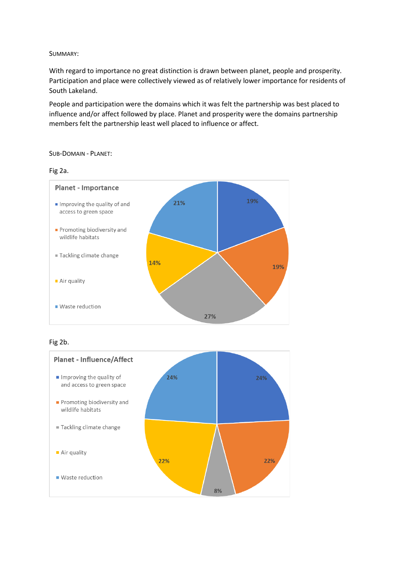### SUMMARY:

With regard to importance no great distinction is drawn between planet, people and prosperity. Participation and place were collectively viewed as of relatively lower importance for residents of South Lakeland.

People and participation were the domains which it was felt the partnership was best placed to influence and/or affect followed by place. Planet and prosperity were the domains partnership members felt the partnership least well placed to influence or affect.

### SUB-DOMAIN - PLANET:





# Fig 2b.

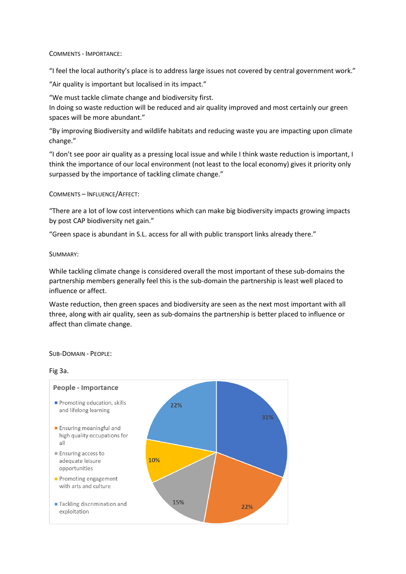COMMENTS - IMPORTANCE:

"I feel the local authority's place is to address large issues not covered by central government work."

"Air quality is important but localised in its impact."

"We must tackle climate change and biodiversity first.

In doing so waste reduction will be reduced and air quality improved and most certainly our green spaces will be more abundant."

"By improving Biodiversity and wildlife habitats and reducing waste you are impacting upon climate change."

"I don't see poor air quality as a pressing local issue and while I think waste reduction is important, I think the importance of our local environment (not least to the local economy) gives it priority only surpassed by the importance of tackling climate change."

COMMENTS – INFLUENCE/AFFECT:

"There are a lot of low cost interventions which can make big biodiversity impacts growing impacts by post CAP biodiversity net gain."

"Green space is abundant in S.L. access for all with public transport links already there."

SUMMARY:

While tackling climate change is considered overall the most important of these sub-domains the partnership members generally feel this is the sub-domain the partnership is least well placed to influence or affect.

Waste reduction, then green spaces and biodiversity are seen as the next most important with all three, along with air quality, seen as sub-domains the partnership is better placed to influence or affect than climate change.

SUB-DOMAIN - PEOPLE:

#### Fig 3a.

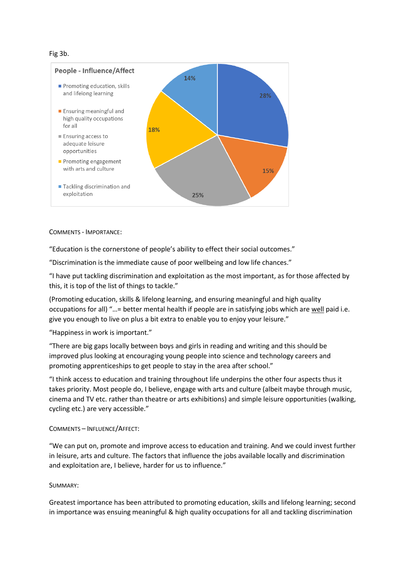Fig 3b.



COMMENTS - IMPORTANCE:

"Education is the cornerstone of people's ability to effect their social outcomes."

"Discrimination is the immediate cause of poor wellbeing and low life chances."

"I have put tackling discrimination and exploitation as the most important, as for those affected by this, it is top of the list of things to tackle."

(Promoting education, skills & lifelong learning, and ensuring meaningful and high quality occupations for all) "…= better mental health if people are in satisfying jobs which are well paid i.e. give you enough to live on plus a bit extra to enable you to enjoy your leisure."

"Happiness in work is important."

"There are big gaps locally between boys and girls in reading and writing and this should be improved plus looking at encouraging young people into science and technology careers and promoting apprenticeships to get people to stay in the area after school."

"I think access to education and training throughout life underpins the other four aspects thus it takes priority. Most people do, I believe, engage with arts and culture (albeit maybe through music, cinema and TV etc. rather than theatre or arts exhibitions) and simple leisure opportunities (walking, cycling etc.) are very accessible."

### COMMENTS – INFLUENCE/AFFECT:

"We can put on, promote and improve access to education and training. And we could invest further in leisure, arts and culture. The factors that influence the jobs available locally and discrimination and exploitation are, I believe, harder for us to influence."

### SUMMARY:

Greatest importance has been attributed to promoting education, skills and lifelong learning; second in importance was ensuing meaningful & high quality occupations for all and tackling discrimination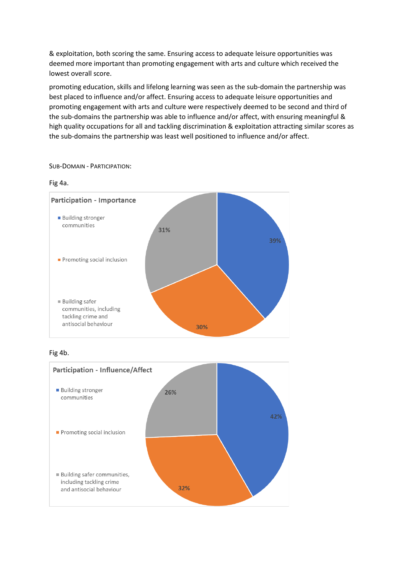& exploitation, both scoring the same. Ensuring access to adequate leisure opportunities was deemed more important than promoting engagement with arts and culture which received the lowest overall score.

promoting education, skills and lifelong learning was seen as the sub-domain the partnership was best placed to influence and/or affect. Ensuring access to adequate leisure opportunities and promoting engagement with arts and culture were respectively deemed to be second and third of the sub-domains the partnership was able to influence and/or affect, with ensuring meaningful & high quality occupations for all and tackling discrimination & exploitation attracting similar scores as the sub-domains the partnership was least well positioned to influence and/or affect.

# SUB-DOMAIN - PARTICIPATION:

### Fig 4a.



# Fig 4b.

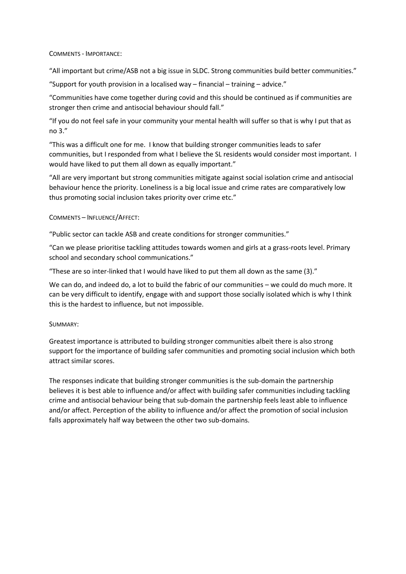### COMMENTS - IMPORTANCE:

"All important but crime/ASB not a big issue in SLDC. Strong communities build better communities."

"Support for youth provision in a localised way – financial – training – advice."

"Communities have come together during covid and this should be continued as if communities are stronger then crime and antisocial behaviour should fall."

"If you do not feel safe in your community your mental health will suffer so that is why I put that as no 3."

"This was a difficult one for me. I know that building stronger communities leads to safer communities, but I responded from what I believe the SL residents would consider most important. I would have liked to put them all down as equally important."

"All are very important but strong communities mitigate against social isolation crime and antisocial behaviour hence the priority. Loneliness is a big local issue and crime rates are comparatively low thus promoting social inclusion takes priority over crime etc."

# COMMENTS – INFLUENCE/AFFECT:

"Public sector can tackle ASB and create conditions for stronger communities."

"Can we please prioritise tackling attitudes towards women and girls at a grass-roots level. Primary school and secondary school communications."

"These are so inter-linked that I would have liked to put them all down as the same (3)."

We can do, and indeed do, a lot to build the fabric of our communities – we could do much more. It can be very difficult to identify, engage with and support those socially isolated which is why I think this is the hardest to influence, but not impossible.

### SUMMARY:

Greatest importance is attributed to building stronger communities albeit there is also strong support for the importance of building safer communities and promoting social inclusion which both attract similar scores.

The responses indicate that building stronger communities is the sub-domain the partnership believes it is best able to influence and/or affect with building safer communities including tackling crime and antisocial behaviour being that sub-domain the partnership feels least able to influence and/or affect. Perception of the ability to influence and/or affect the promotion of social inclusion falls approximately half way between the other two sub-domains.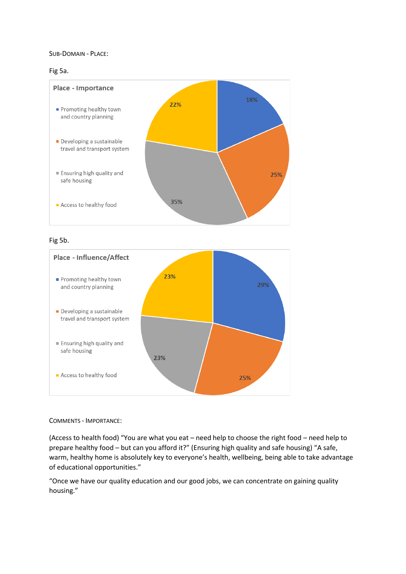### SUB-DOMAIN - PLACE:

### Fig 5a.



# Fig 5b.



#### COMMENTS - IMPORTANCE:

(Access to health food) "You are what you eat – need help to choose the right food – need help to prepare healthy food – but can you afford it?" (Ensuring high quality and safe housing) "A safe, warm, healthy home is absolutely key to everyone's health, wellbeing, being able to take advantage of educational opportunities."

"Once we have our quality education and our good jobs, we can concentrate on gaining quality housing."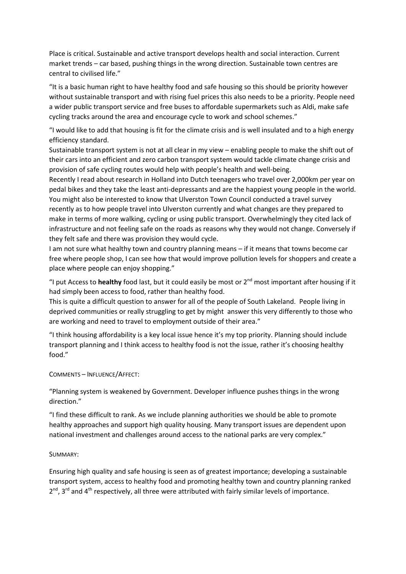Place is critical. Sustainable and active transport develops health and social interaction. Current market trends – car based, pushing things in the wrong direction. Sustainable town centres are central to civilised life."

"It is a basic human right to have healthy food and safe housing so this should be priority however without sustainable transport and with rising fuel prices this also needs to be a priority. People need a wider public transport service and free buses to affordable supermarkets such as Aldi, make safe cycling tracks around the area and encourage cycle to work and school schemes."

"I would like to add that housing is fit for the climate crisis and is well insulated and to a high energy efficiency standard.

Sustainable transport system is not at all clear in my view – enabling people to make the shift out of their cars into an efficient and zero carbon transport system would tackle climate change crisis and provision of safe cycling routes would help with people's health and well-being.

Recently I read about research in Holland into Dutch teenagers who travel over 2,000km per year on pedal bikes and they take the least anti-depressants and are the happiest young people in the world. You might also be interested to know that Ulverston Town Council conducted a travel survey recently as to how people travel into Ulverston currently and what changes are they prepared to make in terms of more walking, cycling or using public transport. Overwhelmingly they cited lack of infrastructure and not feeling safe on the roads as reasons why they would not change. Conversely if they felt safe and there was provision they would cycle.

I am not sure what healthy town and country planning means – if it means that towns become car free where people shop, I can see how that would improve pollution levels for shoppers and create a place where people can enjoy shopping."

"I put Access to **healthy** food last, but it could easily be most or 2nd most important after housing if it had simply been access to food, rather than healthy food.

This is quite a difficult question to answer for all of the people of South Lakeland. People living in deprived communities or really struggling to get by might answer this very differently to those who are working and need to travel to employment outside of their area."

"I think housing affordability is a key local issue hence it's my top priority. Planning should include transport planning and I think access to healthy food is not the issue, rather it's choosing healthy food."

COMMENTS – INFLUENCE/AFFECT:

"Planning system is weakened by Government. Developer influence pushes things in the wrong direction."

"I find these difficult to rank. As we include planning authorities we should be able to promote healthy approaches and support high quality housing. Many transport issues are dependent upon national investment and challenges around access to the national parks are very complex."

### SUMMARY:

Ensuring high quality and safe housing is seen as of greatest importance; developing a sustainable transport system, access to healthy food and promoting healthy town and country planning ranked  $2^{nd}$ ,  $3^{rd}$  and  $4^{th}$  respectively, all three were attributed with fairly similar levels of importance.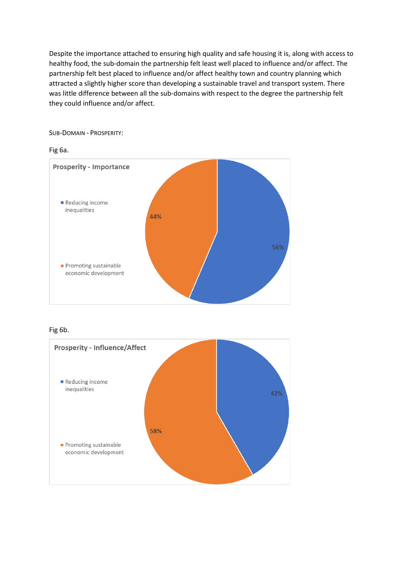Despite the importance attached to ensuring high quality and safe housing it is, along with access to healthy food, the sub-domain the partnership felt least well placed to influence and/or affect. The partnership felt best placed to influence and/or affect healthy town and country planning which attracted a slightly higher score than developing a sustainable travel and transport system. There was little difference between all the sub-domains with respect to the degree the partnership felt they could influence and/or affect.

SUB-DOMAIN - PROSPERITY:

### Fig 6a.



## Fig 6b.

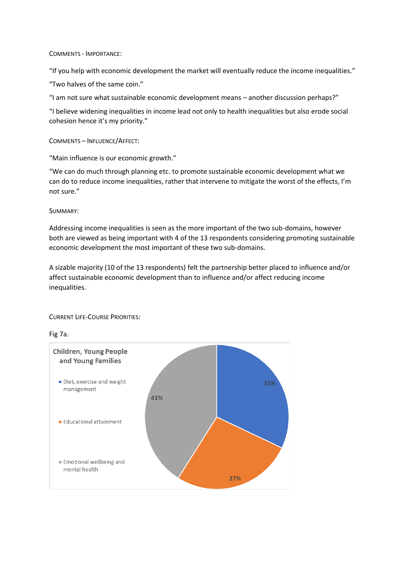### COMMENTS - IMPORTANCE:

"If you help with economic development the market will eventually reduce the income inequalities."

"Two halves of the same coin."

"I am not sure what sustainable economic development means – another discussion perhaps?"

"I believe widening inequalities in income lead not only to health inequalities but also erode social cohesion hence it's my priority."

COMMENTS – INFLUENCE/AFFECT:

"Main influence is our economic growth."

"We can do much through planning etc. to promote sustainable economic development what we can do to reduce income inequalities, rather that intervene to mitigate the worst of the effects, I'm not sure."

SUMMARY:

Addressing income inequalities is seen as the more important of the two sub-domains, however both are viewed as being important with 4 of the 13 respondents considering promoting sustainable economic development the most important of these two sub-domains.

A sizable majority (10 of the 13 respondents) felt the partnership better placed to influence and/or affect sustainable economic development than to influence and/or affect reducing income inequalities.

CURRENT LIFE-COURSE PRIORITIES:

Fig 7a.

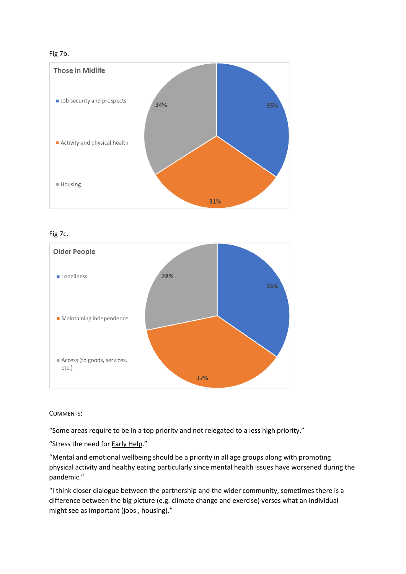# Fig 7b.



Fig 7c.



COMMENTS:

"Some areas require to be in a top priority and not relegated to a less high priority."

"Stress the need for **Early Help."** 

"Mental and emotional wellbeing should be a priority in all age groups along with promoting physical activity and healthy eating particularly since mental health issues have worsened during the pandemic."

"I think closer dialogue between the partnership and the wider community, sometimes there is a difference between the big picture (e.g. climate change and exercise) verses what an individual might see as important (jobs , housing)."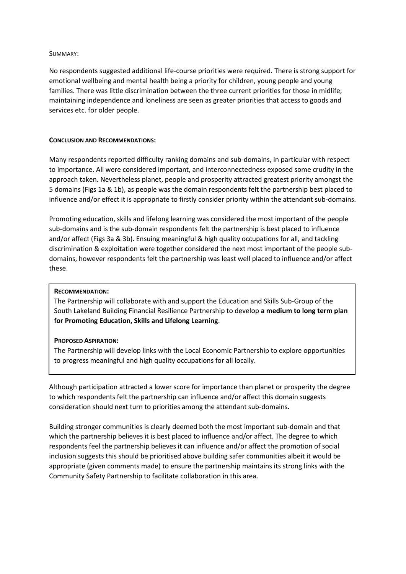### SUMMARY:

No respondents suggested additional life-course priorities were required. There is strong support for emotional wellbeing and mental health being a priority for children, young people and young families. There was little discrimination between the three current priorities for those in midlife; maintaining independence and loneliness are seen as greater priorities that access to goods and services etc. for older people.

### **CONCLUSION AND RECOMMENDATIONS:**

Many respondents reported difficulty ranking domains and sub-domains, in particular with respect to importance. All were considered important, and interconnectedness exposed some crudity in the approach taken. Nevertheless planet, people and prosperity attracted greatest priority amongst the 5 domains (Figs 1a & 1b), as people was the domain respondents felt the partnership best placed to influence and/or effect it is appropriate to firstly consider priority within the attendant sub-domains.

Promoting education, skills and lifelong learning was considered the most important of the people sub-domains and is the sub-domain respondents felt the partnership is best placed to influence and/or affect (Figs 3a & 3b). Ensuing meaningful & high quality occupations for all, and tackling discrimination & exploitation were together considered the next most important of the people subdomains, however respondents felt the partnership was least well placed to influence and/or affect these.

#### **RECOMMENDATION:**

The Partnership will collaborate with and support the Education and Skills Sub-Group of the South Lakeland Building Financial Resilience Partnership to develop **a medium to long term plan for Promoting Education, Skills and Lifelong Learning**.

### **PROPOSED ASPIRATION:**

The Partnership will develop links with the Local Economic Partnership to explore opportunities to progress meaningful and high quality occupations for all locally.

Although participation attracted a lower score for importance than planet or prosperity the degree to which respondents felt the partnership can influence and/or affect this domain suggests consideration should next turn to priorities among the attendant sub-domains.

Building stronger communities is clearly deemed both the most important sub-domain and that which the partnership believes it is best placed to influence and/or affect. The degree to which respondents feel the partnership believes it can influence and/or affect the promotion of social inclusion suggests this should be prioritised above building safer communities albeit it would be appropriate (given comments made) to ensure the partnership maintains its strong links with the Community Safety Partnership to facilitate collaboration in this area.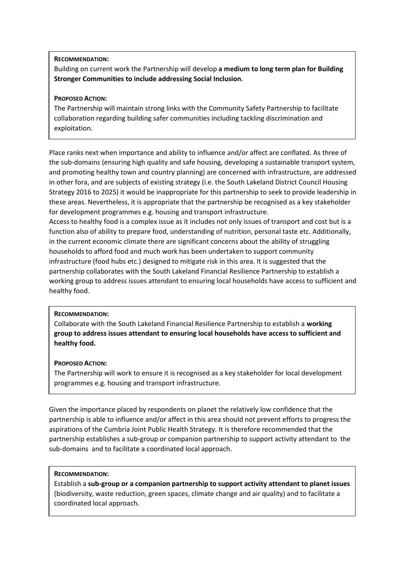## **RECOMMENDATION:**

Building on current work the Partnership will develop **a medium to long term plan for Building Stronger Communities to include addressing Social Inclusion**.

# **PROPOSED ACTION:**

The Partnership will maintain strong links with the Community Safety Partnership to facilitate collaboration regarding building safer communities including tackling discrimination and exploitation.

Place ranks next when importance and ability to influence and/or affect are conflated. As three of the sub-domains (ensuring high quality and safe housing, developing a sustainable transport system, and promoting healthy town and country planning) are concerned with infrastructure, are addressed in other fora, and are subjects of existing strategy (i.e. the South Lakeland District Council Housing Strategy 2016 to 2025) it would be inappropriate for this partnership to seek to provide leadership in these areas. Nevertheless, it is appropriate that the partnership be recognised as a key stakeholder for development programmes e.g. housing and transport infrastructure.

Access to healthy food is a complex issue as it includes not only issues of transport and cost but is a function also of ability to prepare food, understanding of nutrition, personal taste etc. Additionally, in the current economic climate there are significant concerns about the ability of struggling households to afford food and much work has been undertaken to support community infrastructure (food hubs etc.) designed to mitigate risk in this area. It is suggested that the partnership collaborates with the South Lakeland Financial Resilience Partnership to establish a working group to address issues attendant to ensuring local households have access to sufficient and healthy food.

### **RECOMMENDATION:**

Collaborate with the South Lakeland Financial Resilience Partnership to establish a **working group to address issues attendant to ensuring local households have access to sufficient and healthy food.**

### **PROPOSED ACTION:**

The Partnership will work to ensure it is recognised as a key stakeholder for local development programmes e.g. housing and transport infrastructure.

Given the importance placed by respondents on planet the relatively low confidence that the partnership is able to influence and/or affect in this area should not prevent efforts to progress the aspirations of the Cumbria Joint Public Health Strategy. It is therefore recommended that the partnership establishes a sub-group or companion partnership to support activity attendant to the sub-domains and to facilitate a coordinated local approach.

### **RECOMMENDATION:**

Establish a **sub-group or a companion partnership to support activity attendant to planet issues** (biodiversity, waste reduction, green spaces, climate change and air quality) and to facilitate a coordinated local approach.